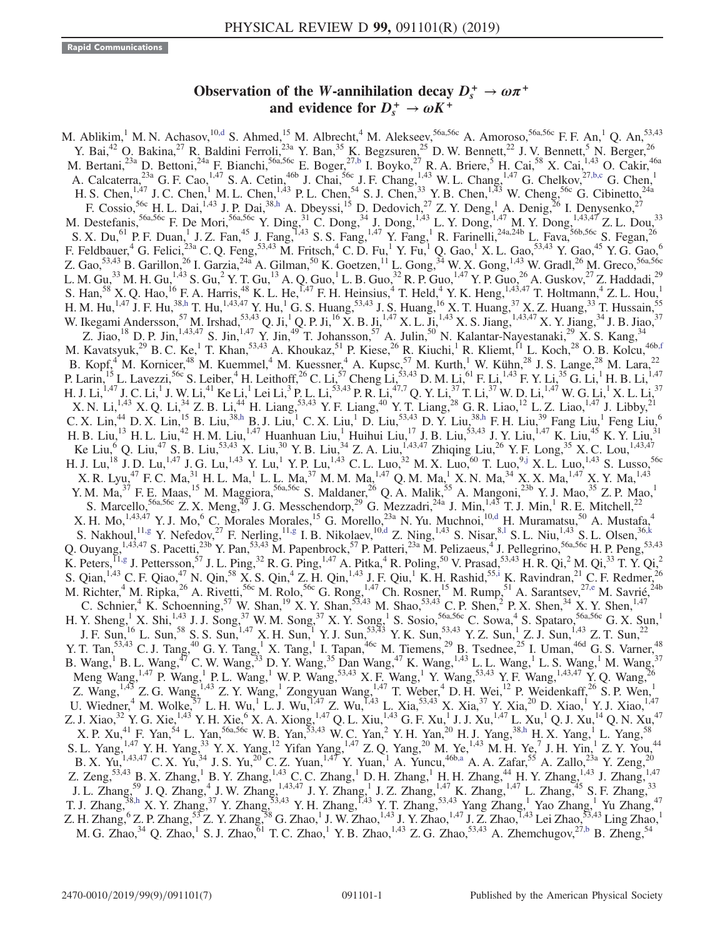## Observation of the W-annihilation decay  $D_s^+ \to \omega \pi^+$ and evidence for  $D_s^+ \rightarrow \omega K^+$

<span id="page-0-8"></span><span id="page-0-7"></span><span id="page-0-6"></span><span id="page-0-5"></span><span id="page-0-4"></span><span id="page-0-3"></span><span id="page-0-2"></span><span id="page-0-1"></span><span id="page-0-0"></span>M. Ablikim,<sup>1</sup> M. N. Achasov,<sup>10[,d](#page-2-0)</sup> S. Ahmed,<sup>15</sup> M. Albrecht,<sup>4</sup> M. Alekseev,<sup>56a,56c</sup> A. Amoroso,<sup>56a,56c</sup> F. F. An,<sup>1</sup> Q. An,<sup>53,43</sup> Y. Bai,<sup>42</sup> O. Bakina,<sup>27</sup> R. Baldini Ferroli,<sup>23a</sup> Y. Ban,<sup>35</sup> K. Begzsuren,<sup>25</sup> D. W. Bennett,<sup>22</sup> J. V. Bennett,<sup>5</sup> N. Berger,<sup>26</sup> M. Bertani,<sup>23a</sup> D. Bettoni,<sup>24a</sup> F. Bianchi,<sup>56a,56c</sup> E. Boger,<sup>27[,b](#page-2-1)</sup> I. Boyko,<sup>27</sup> R. A. Briere,<sup>5</sup> H. Cai,<sup>58</sup> X. Cai,<sup>1,43</sup> O. Cakir,<sup>46a</sup> A. Calcaterra,  $^{23a}$  G. F. Cao,  $^{1,47}$  S. A. Cetin,  $^{46b}$  J. Chai,  $^{56c}$  J. F. Chang,  $^{1,43}$  W. L. Chang,  $^{1,47}$  G. Chelkov,  $^{27,b,c}$  $^{27,b,c}$  $^{27,b,c}$  G. Chen,  $^{1}$ H. S. Chen,<sup>1,47</sup> J. C. Chen,<sup>1</sup> M. L. Chen,<sup>1,43</sup> P. L. Chen,<sup>54</sup> S. J. Chen,<sup>33</sup> Y. B. Chen,<sup>1,43</sup> W. Cheng,<sup>56c</sup> G. Cibinetto,<sup>24a</sup> F. Cossio,<sup>56c</sup> H. L. Dai,<sup>1,43</sup> J. P. Dai,<sup>3[8,h](#page-2-2)</sup> A. Dbeyssi,<sup>15</sup> D. Dedovich,<sup>27</sup> Z. Y. Deng,<sup>1</sup> A. Denig,<sup>26</sup> I. Denysenko,<sup>27</sup> M. Destefanis,  $56a,56c$  F. De Mori,  $56a,56c$  Y. Ding,  $31$  C. Dong,  $34$  J. Dong,  $1,43$  L. Y. Dong,  $1,47$  M. Y. Dong,  $1,43,47$  Z. L. Dou,  $33$ S. X. Du,<sup>61</sup> P. F. Duan,<sup>1</sup> J. Z. Fan,<sup>45</sup> J. Fang,<sup>1,43</sup> S. S. Fang,<sup>1,47</sup> Y. Fang,<sup>1</sup> R. Farinelli,<sup>24a,24b</sup> L. Fava,<sup>56b,56c</sup> S. Fegan,<sup>26</sup> F. Feldbauer, <sup>4</sup> G. Felici,<sup>23a</sup> C. Q. Feng,<sup>53,43</sup> M. Fritsch, <sup>4</sup> C. D. Fu, <sup>1</sup> Y. Fu, <sup>1</sup> Q. Gao, <sup>1</sup> X. L. Gao,<sup>53,43</sup> Y. Gao, <sup>45</sup> Y. G. Gao,<sup>6</sup> Z. Gao,<sup>53,43</sup> B. Garillon,<sup>26</sup> I. Garzia,<sup>24a</sup> A. Gilman,<sup>50</sup> K. Goetzen,<sup>11</sup> L. Gong,<sup>34</sup> W. X. Gong,<sup>1,43</sup> W. Gradl,<sup>26</sup> M. Greco,<sup>56a,56c</sup> L. M. Gu, $^{33}$  M. H. Gu, $^{1,43}$  S. Gu, $^2$  Y. T. Gu, $^{13}$  A. Q. Guo, $^1$  L. B. Guo, $^{32}$  R. P. Guo, $^{1,47}$  Y. P. Guo, $^{26}$  A. Guskov, $^{27}$  Z. Haddadi, $^{29}$ S. Han,<sup>58</sup> X. Q. Hao,<sup>16</sup> F. A. Harris,<sup>48</sup> K. L. He,<sup>1,47</sup> F. H. Heinsius,<sup>4</sup> T. Held,<sup>4</sup> Y. K. Heng,<sup>1,43,47</sup> T. Holtmann,<sup>4</sup> Z. L. Hou,<sup>1</sup> H. M. Hu,<sup>1,47</sup> J. F. Hu,<sup>38[,h](#page-2-2)</sup> T. Hu,<sup>1,43,47</sup> Y. Hu,<sup>1</sup> G. S. Huang,<sup>53,43</sup> J. S. Huang,<sup>16</sup> X. T. Huang,<sup>37</sup> X. Z. Huang,<sup>33</sup> T. Hussain,<sup>55</sup> W. Ikegami Andersson,<sup>57</sup> M. Irshad,<sup>53,43</sup> Q. Ji,<sup>1</sup> Q. P. Ji,<sup>16</sup> X. B. Ji,<sup>1,47</sup> X. L. Ji,<sup>1,43</sup> X. S. Jiang,<sup>1,43,47</sup> X. Y. Jiang,<sup>34</sup> J. B. Jiao,<sup>37</sup> Z. Jiao,<sup>18</sup> D. P. Jin,<sup>1,43,47</sup> S. Jin,<sup>1,47</sup> Y. Jin,<sup>49</sup> T. Johansson,<sup>57</sup> A. Julin,<sup>50</sup> N. Kalantar-Nayestanaki,<sup>29</sup> X. S. Kang,<sup>34</sup> M. Kavatsyuk,<sup>29</sup> B. C. Ke,<sup>1</sup> T. Khan,<sup>53,43</sup> A. Khoukaz,<sup>51</sup> P. Kiese,<sup>26</sup> R. Kiuchi,<sup>1</sup> R. Kliemt,<sup>11</sup> L. Koch,<sup>28</sup> O. B. Kolcu,<sup>46b[,f](#page-2-3)</sup> B. Kopf,<sup>4</sup> M. Kornicer,<sup>48</sup> M. Kuemmel,<sup>4</sup> M. Kuessner,<sup>4</sup> A. Kupsc,<sup>57</sup> M. Kurth,<sup>1</sup> W. Kühn,<sup>28</sup> J. S. Lange,<sup>28</sup> M. Lara,<sup>22</sup> P. Larin,<sup>15</sup> L. Lavezzi,<sup>56c</sup> S. Leiber,<sup>4</sup> H. Leithoff,<sup>26</sup> C. Li,<sup>57</sup> Cheng Li,<sup>53,43</sup> D. M. Li,<sup>61</sup> F. Li,<sup>1,43</sup> F. Y. Li,<sup>35</sup> G. Li,<sup>1</sup> H. B. Li,<sup>1,47</sup> H. J. Li, $^{1,47}$  J. C. Li, $^1$  J. W. Li, $^{41}$  Ke Li, $^1$  Lei Li, $^3$  P. L. Li, $^{53,43}$  P. R. Li, $^{47,7}$  Q. Y. Li, $^{37}$  T. Li, $^{37}$  W. D. Li, $^{1,47}$  W. G. Li, $^1$  X. L. Li, $^{37}$ X. N. Li,<sup>1,43</sup> X. Q. Li,<sup>34</sup> Z. B. Li,<sup>44</sup> H. Liang,<sup>53,43</sup> Y. F. Liang,<sup>40</sup> Y. T. Liang,<sup>28</sup> G. R. Liao,<sup>12</sup> L. Z. Liao,<sup>1,47</sup> J. Libby,<sup>21</sup> C. X. Lin,<sup>44</sup> D. X. Lin,<sup>15</sup> B. Liu,<sup>38[,h](#page-2-2)</sup> B. J. Liu,<sup>1</sup> C. X. Liu,<sup>1</sup> D. Liu,<sup>53,43</sup> D. Y. Liu,<sup>33,h</sup> F. H. Liu,<sup>39</sup> Fang Liu,<sup>1</sup> Feng Liu,<sup>6</sup> H. B. Liu,<sup>13</sup> H. L. Liu,<sup>42</sup> H. M. Liu,<sup>1,47</sup> Huanhuan Liu,<sup>1</sup> Huihui Liu,<sup>17</sup> J. B. Liu,<sup>53,43</sup> J. Y. Liu,<sup>1,47</sup> K. Liu,<sup>45</sup> K. Y. Liu,<sup>31</sup> Ke Liu,<sup>6</sup> Q. Liu,<sup>47</sup> S. B. Liu,<sup>53,43</sup> X. Liu,<sup>30</sup> Y. B. Liu,<sup>34</sup> Z. A. Liu,<sup>1,43,47</sup> Zhiqing Liu,<sup>26</sup> Y. F. Long,<sup>35</sup> X. C. Lou,<sup>1,43,47</sup> H. J. Lu,<sup>18</sup> J. D. Lu,<sup>1,47</sup> J. G. Lu,<sup>1,43</sup> Y. Lu,<sup>1</sup> Y. P. Lu,<sup>1,43</sup> C. L. Luo,<sup>32</sup> M. X. Luo,<sup>60</sup> T. Luo,<sup>[9,j](#page-2-4)</sup> X. L. Luo,<sup>1,43</sup> S. Lusso,<sup>56c</sup>  $X$ . R. Lyu,<sup>47</sup> F. C. Ma,<sup>31</sup> H. L. Ma,<sup>1</sup> L. L. Ma,<sup>37</sup> M. M. Ma,<sup>1,47</sup> Q. M. Ma,<sup>1</sup> X. N. Ma,<sup>34</sup> X. X. Ma,<sup>1,47</sup> X. Y. Ma,<sup>1,43</sup> Y. M. Ma,<sup>37</sup> F. E. Maas,<sup>15</sup> M. Maggiora,<sup>56a,56c</sup> S. Maldaner,<sup>26</sup> Q. A. Malik,<sup>55</sup> A. Mangoni,<sup>23b</sup> Y. J. Mao,<sup>35</sup> Z. P. Mao,<sup>1</sup> S. Marcello,<sup>56a,56c</sup> Z. X. Meng,<sup>49</sup> J. G. Messchendorp,<sup>29</sup> G. Mezzadri,<sup>24a</sup> J. Min,<sup>1,43</sup> T. J. Min,<sup>1</sup> R. E. Mitchell,<sup>22</sup> X. H. Mo,  $^{1,43,47}$  Y. J. Mo, <sup>6</sup> C. Morales Morales, <sup>15</sup> G. Morello,  $^{23a}$  N. Yu. Muchnoi,  $^{10,d}$  $^{10,d}$  $^{10,d}$  H. Muramatsu,  $^{50}$  A. Mustafa,  $^{4}$ S. Nakhoul,  $^{11,g}$  $^{11,g}$  $^{11,g}$  Y. Nefedov,  $^{27}$  F. Nerling,  $^{11,g}$  I. B. Nikolaev,  $^{10,d}$  $^{10,d}$  $^{10,d}$  Z. Ning,  $^{1,43}$  S. Nisar,  $^{8,1}$  S. L. Niu,  $^{1,43}$  S. L. Olsen,  $^{36,k}$  $^{36,k}$  $^{36,k}$ Q. Ouyang,  $^{1,43,47}$  S. Pacetti,  $^{23b}$  Y. Pan,  $^{53,43}$  M. Papenbrock,  $^{57}$  P. Patteri,  $^{23a}$  M. Pelizaeus,  $^4$  J. Pellegrino,  $^{56a,56c}$  H. P. Peng,  $^{53,43}$ K. Peters,  $^{11,g}$  $^{11,g}$  $^{11,g}$  J. Pettersson,  $^{57}$  J. L. Ping,  $^{32}$  R. G. Ping,  $^{1,47}$  A. Pitka,  $^{4}$  R. Poling,  $^{50}$  V. Prasad,  $^{53,43}$  H. R. Qi,  $^{2}$  M. Qi,  $^{33}$  T. Y. Qi,  $^{2}$ S. Qian,  $^{1,43}$  C. F. Qiao,  $^{47}$  N. Qin,  $^{58}$  X. S. Qin,  $^{4}$  Z. H. Qin,  $^{1,43}$  J. F. Qiu,  $^{1}$  K. H. Rashid,  $^{55,1}$  K. Ravindran,  $^{21}$  C. F. Redmer,  $^{26}$ M. Richter,<sup>4</sup> M. Ripka,<sup>26</sup> A. Rivetti,<sup>56c</sup> M. Rolo,<sup>56c</sup> G. Rong,<sup>1,47</sup> Ch. Rosner,<sup>15</sup> M. Rump,<sup>51</sup> A. Sarantsev,<sup>27[,e](#page-2-9)</sup> M. Savrié,<sup>24b</sup> C. Schnier,<sup>4</sup> K. Schoenning,<sup>57</sup> W. Shan,<sup>19</sup> X. Y. Shan,<sup>53,43</sup> M. Shao,<sup>53,43</sup> C. P. Shen,<sup>2</sup> P. X. Shen,<sup>34</sup> X. Y. Shen,<sup>1,47</sup> H. Y. Sheng,<sup>1</sup> X. Shi,<sup>1,43</sup> J. J. Song,<sup>37</sup> W. M. Song,<sup>37</sup> X. Y. Song,<sup>1</sup> S. Sosio,<sup>56a,56c</sup> C. Sowa,<sup>4</sup> S. Spataro,<sup>56a,56c</sup> G. X. Sun,<sup>1</sup> J. F. Sun,<sup>16</sup> L. Sun,<sup>58</sup> S. S. Sun,<sup>1,47</sup> X. H. Sun,<sup>1</sup> Y. J. Sun,<sup>53,43</sup> Y. K. Sun,<sup>53,43</sup> Y. Z. Sun,<sup>1</sup> Z. J. Sun,<sup>1,43</sup> Z. T. Sun,<sup>22</sup> Y. T. Tan,  $53,43$  C. J. Tang,  $40$  G. Y. Tang,  $1$  X. Tang,  $1$  I. Tapan,  $46c$  M. Tiemens,  $29$  B. Tsednee,  $25$  I. Uman,  $46d$  G. S. Varner,  $48$ B. Wang,<sup>1</sup> B. L. Wang,<sup>47</sup> C. W. Wang,<sup>33</sup> D. Y. Wang,<sup>35</sup> Dan Wang,<sup>47</sup> K. Wang,<sup>1,43</sup> L. L. Wang,<sup>1</sup> L. S. Wang,<sup>1</sup> M. Wang,<sup>37</sup> Meng Wang,<sup>1,47</sup> P. Wang,<sup>1</sup> P. L. Wang,<sup>1</sup> W. P. Wang,<sup>53,43</sup> X. F. Wang,<sup>1</sup> Y. Wang,<sup>53,43</sup> Y. F. Wang,<sup>1,43,47</sup> Y. Q. Wang,<sup>76</sup> Z. Wang,<sup>1,43</sup> Z. G. Wang,<sup>1,43</sup> Z. Y. Wang,<sup>1</sup> Zongyuan Wang,<sup>1,47</sup> T. Weber,<sup>4</sup> D. H. Wei,<sup>12</sup> P. Weidenkaff,<sup>26</sup> S. P. Wen,<sup>1</sup> U. Wiedner,<sup>4</sup> M. Wolke,<sup>57</sup> L. H. Wu,<sup>1</sup> L. J. Wu,<sup>1,47</sup> Z. Wu,<sup>1,43</sup> L. Xia,<sup>53,43</sup> X. Xia,<sup>37</sup> Y. Xia,<sup>20</sup> D. Xiao,<sup>1</sup> Y. J. Xiao,<sup>1,47</sup> Z. J. Xiao,<sup>32</sup> Y. G. Xie,<sup>1,43</sup> Y. H. Xie,<sup>6</sup> X. A. Xiong,<sup>1,47</sup> Q. L. Xiu,<sup>1,43</sup> G. F. Xu,<sup>1</sup> J. J. Xu,<sup>1,47</sup> L. Xu,<sup>1</sup> Q. J. Xu,<sup>14</sup> Q. N. Xu,<sup>47</sup> X. P. Xu,<sup>41</sup> F. Yan,<sup>54</sup> L. Yan,<sup>56a,56c</sup> W. B. Yan,<sup>53,43</sup> W. C. Yan,<sup>2</sup> Y. H. Yan,<sup>20</sup> H. J. Yang,<sup>3[8,h](#page-2-2)</sup> H. X. Yang,<sup>1</sup> L. Yang,<sup>58</sup> S. L. Yang,<sup>1,47</sup> Y. H. Yang,<sup>33</sup> Y. X. Yang,<sup>12</sup> Yifan Yang,<sup>1,47</sup> Z. Q. Yang,<sup>20</sup> M. Ye,<sup>1,43</sup> M. H. Ye,<sup>7</sup> J. H. Yin,<sup>1</sup> Z. Y. You,<sup>44</sup> B. X. Yu, <sup>1,43,47</sup> C. X. Yu,<sup>34</sup> J. S. Yu,<sup>20</sup> C. Z. Yuan, <sup>1,47</sup> Y. Yuan, <sup>1</sup> A. Yuncu, <sup>46b[,a](#page-2-10)</sup> A. A. Zafar, <sup>55</sup> A. Zallo, <sup>23a</sup> Y. Zeng, <sup>20</sup> Z. Zeng,<sup>53,43</sup> B. X. Zhang,<sup>1</sup> B. Y. Zhang,<sup>1,43</sup> C. C. Zhang,<sup>1</sup> D. H. Zhang,<sup>1</sup> H. H. Zhang,<sup>44</sup> H. Y. Zhang,<sup>1,43</sup> J. Zhang,<sup>1,47</sup> J. L. Zhang,<sup>59</sup> J. Q. Zhang,<sup>4</sup> J. W. Zhang,<sup>1,43,47</sup> J. Y. Zhang,<sup>1</sup> J. Z. Zhang,<sup>1,47</sup> K. Zhang,<sup>1,47</sup> L. Zhang,<sup>45</sup> S. F. Zhang,<sup>33</sup> T. J. Zhang,<sup>38[,h](#page-2-2)</sup> X. Y. Zhang,<sup>37</sup> Y. Zhang,<sup>53,43</sup> Y. H. Zhang,<sup>5,43</sup> Y. T. Zhang,<sup>53,43</sup> Yang Zhang,<sup>1</sup> Yao Zhang,<sup>1</sup> Yu Zhang,<sup>47</sup>  $Z.$  H. Zhang,  ${}^{6}$  Z. P. Zhang,  ${}^{53}$  Z. Y. Zhang,  ${}^{58}$  G. Zhao,  ${}^{1}$  J. W. Zhao,  ${}^{1,43}$  J. Y. Zhao,  ${}^{1,47}$  J. Z. Zhao,  ${}^{1,43}$  Lei Zhao,  ${}^{53,43}$  Ling Zhao,  ${}^{1}$ M. G. Zhao,<sup>34</sup> Q. Zhao,<sup>1</sup> S. J. Zhao,<sup>61</sup> T. C. Zhao,<sup>1</sup> Y. B. Zhao,<sup>1,43</sup> Z. G. Zhao,<sup>53,43</sup> A. Zhemchugov,<sup>27[,b](#page-2-1)</sup> B. Zheng,<sup>54</sup>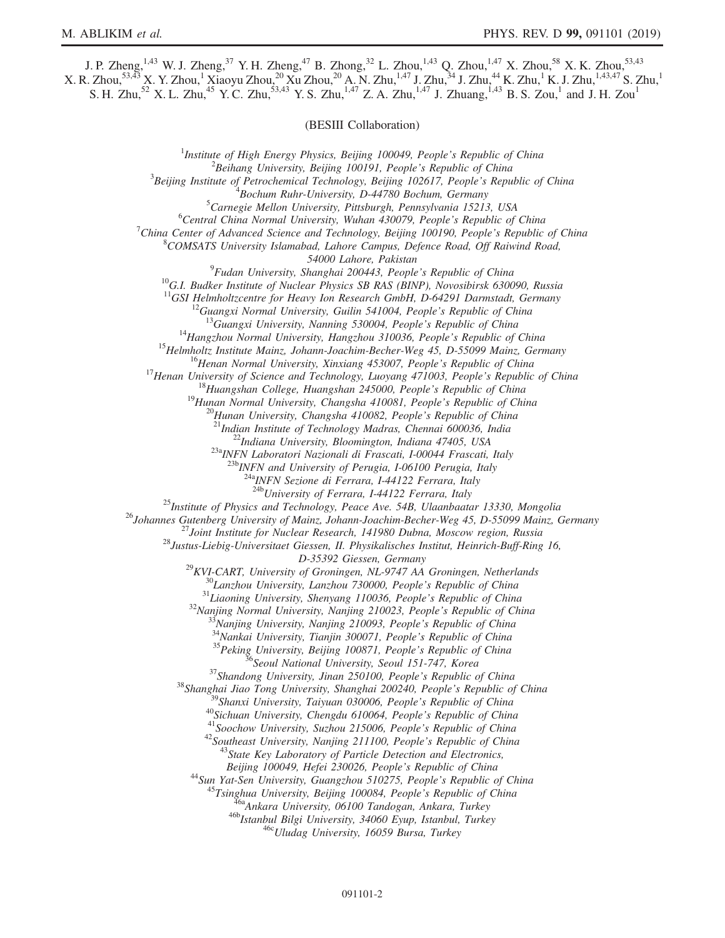J. P. Zheng,<sup>1,43</sup> W. J. Zheng,<sup>37</sup> Y. H. Zheng,<sup>47</sup> B. Zhong,<sup>32</sup> L. Zhou,<sup>1,43</sup> Q. Zhou,<sup>1,47</sup> X. Zhou,<sup>58</sup> X. K. Zhou,<sup>53,43</sup>  $X.$  R. Zhou, $53,43$   $X.$  Y. Zhou, $1$  Xiaoyu Zhou, $20$  Xu Zhou, $20$  A. N. Zhu, $1,47$  J. Zhu, $34$  J. Zhu, $44$  K. Zhu, $1$  K. J. Zhu, $1,43,47$  S. Zhu, $1$ S. H. Zhu,<sup>52</sup> X. L. Zhu,<sup>45</sup> Y. C. Zhu,<sup>53,43</sup> Y. S. Zhu,<sup>1,47</sup> Z. A. Zhu,<sup>1,47</sup> J. Zhuang,<sup>1,43</sup> B. S. Zou,<sup>1</sup> and J. H. Zou<sup>1</sup>

(BESIII Collaboration)

<sup>1</sup>Institute of High Energy Physics, Beijing 100049, People's Republic of China  $\frac{2 \text{Poibana}}{2}$  ${}^{2}$ Beihang University, Beijing 100191, People's Republic of China  ${}^{3}$ Beijing Institute of Petrochemical Technology, Beijing 102617, People's Republic of China  ${}^{4}$ Bochum Ruhr-University, D-44780 Bochum, Germany  ${}^{5}$ Carnegie Mellon University, Pittsburgh, Pennsylvania 15213, USA  ${}^{6}$ Central China Normal University, Wuhan 430079, People's Republic of China <sup>7</sup>China Center of Advanced Science and Technology, Beijing 100190, People's Republic of China  $8$ COMSATS University Islamabad, Lahore Campus, Defence Road, Off Raiwind Road, 54000 Lahore, Pakistan<br><sup>9</sup>Fudan University, Shanghai 200443, People's Republic of China <sup>10</sup>G.I. Budker Institute of Nuclear Physics SB RAS (BINP), Novosibirsk 630090, Russia <sup>11</sup>GSI Helmholtzcentre for Heavy Ion Research GmbH, D-64291 Darmstadt, Germany <sup>11</sup>GSI Helmholtzcentre for Heavy Ion Research GmbH, D-64291 Darmstadt, Germany<br><sup>12</sup>Guangxi Normal University, Guilin 541004, People's Republic of China<br><sup>13</sup>Guangxi University, Nanning 530004, People's Republic of China<br><sup></sup>  $^{23a}$ INFN Laboratori Nazionali di Frascati, I-00044 Frascati, Italy<br> $^{23b}$ INFN and University of Perugia, I-06100 Perugia, Italy  $\frac{^{24a}NFN}{^{24b}University}$  of Ferrara, I-44122 Ferrara, Italy  $\frac{^{24b}V}{^{24b}University}$  of Ferrara, I-44122 Ferrara, Italy <sup>25</sup>Institute of Physics and Technology, Peace Ave. 54B, Ulaanbaatar 13330, Mongolia<br><sup>26</sup>Johannes Gutenberg University of Mainz, Johann-Joachim-Becher-Weg 45, D-55099 Mainz, Germany<br><sup>27</sup>Joint Institute for Nuclear Researc  $D-35392$  Giessen, Germany<br>  $D-35392$  Giessen, Germany<br>  $^{29}KVI-CART$ , University of Groningen, NL-9747 AA Groningen, Netherlands<br>  $^{30}Lanzhou University$ , Lanzhou 730000, People's Republic of China<br>  $^{31}Liaoning University$ , Shenyang 110036, People' Beijing 100049, Hefei 230026, People's Republic of China<br>
<sup>44</sup>Sun Yat-Sen University, Guangzhou 510275, People's Republic of China<br>
<sup>45</sup>Tsinghua University, Beijing 100084, People's Republic of China<br>
<sup>46</sup>Ankara University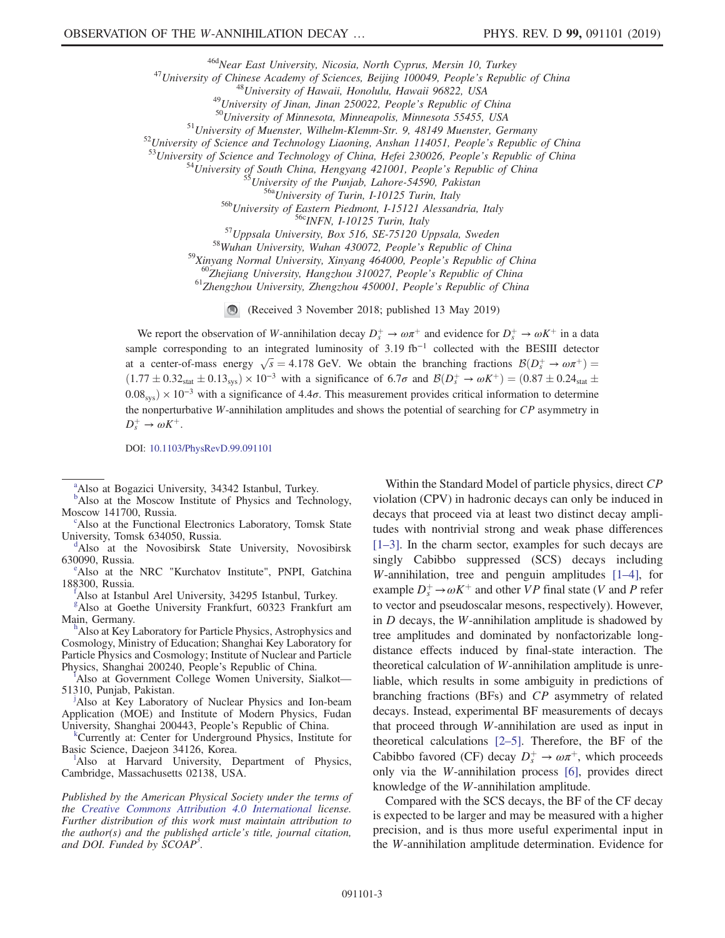<sup>46d</sup>Near East University, Nicosia, North Cyprus, Mersin 10, Turkey<br>
<sup>46d</sup>Near East University of Sciences, Beijing 100049, People's Republic of China<br>
<sup>48</sup>University of Hawaii, Honolulu, Hawaii 96822, USA<br>
<sup>49</sup>University

<sup>59</sup>Xinyang Normal University, Xinyang 464000, People's Republic of China<br><sup>60</sup>Zhejiang University, Hangzhou 310027, People's Republic of China<br><sup>61</sup>Zhengzhou University, Zhengzhou 450001, People's Republic of China

(Received 3 November 2018; published 13 May 2019)

We report the observation of W-annihilation decay  $D_s^+ \to \omega \pi^+$  and evidence for  $D_s^+ \to \omega K^+$  in a data sample corresponding to an integrated luminosity of  $3.19 \text{ fb}^{-1}$  collected with the BESIII detector at a center-of-mass energy  $\sqrt{s} = 4.178$  GeV. We obtain the branching fractions  $\mathcal{B}(D_s^+ \to \omega \pi^+) =$  $(1.77 \pm 0.32<sub>stat</sub> \pm 0.13<sub>sys</sub>) \times 10<sup>-3</sup>$  with a significance of 6.7 $\sigma$  and  $\mathcal{B}(D_s^+ \to \omega K^+) = (0.87 \pm 0.24<sub>stat</sub> \pm 0.024<sub>stat</sub> \pm 0.024<sub>stat</sub> \pm 0.024<sub>stat</sub> \pm 0.024<sub>stat</sub> \pm 0.024<sub>stat</sub> \pm 0.024<sub>stat</sub> \pm 0.024$  $0.08<sub>sys</sub>$ ) × 10<sup>-3</sup> with a significance of 4.4 $\sigma$ . This measurement provides critical information to determine the nonperturbative W-annihilation amplitudes and shows the potential of searching for  $CP$  asymmetry in  $D_s^+ \to \omega K^+$ .

DOI: [10.1103/PhysRevD.99.091101](https://doi.org/10.1103/PhysRevD.99.091101)

Also at the Functional Electronics Laboratory, Tomsk State University, Tomsk 634050, Russia.

<span id="page-2-0"></span><sup>d</sup>Also at the Novosibirsk State University, Novosibirsk 630090, Russia.

<span id="page-2-9"></span><sup>e</sup>Also at the NRC "Kurchatov Institute", PNPI, Gatchina 188300, Russia. [f](#page-0-4)

<span id="page-2-3"></span>Also at Istanbul Arel University, 34295 Istanbul, Turkey.

<span id="page-2-5"></span>[g](#page-0-5) Also at Goethe University Frankfurt, 60323 Frankfurt am Main, Germany.

<span id="page-2-2"></span><sup>h</sup>Also at Key Laboratory for Particle Physics, Astrophysics and Cosmology, Ministry of Education; Shanghai Key Laboratory for Particle Physics and Cosmology; Institute of Nuclear and Particle Phys[i](#page-0-7)cs, Shanghai 200240, People's Republic of China.

<span id="page-2-8"></span>Also at Government College Women University, Sialkot— 51310, Punjab, Pakistan. [j](#page-0-8)

<span id="page-2-4"></span>Also at Key Laboratory of Nuclear Physics and Ion-beam Application (MOE) and Institute of Modern Physics, Fudan University, Shanghai 200443, People's Republic of China. [k](#page-0-2)

<span id="page-2-7"></span><sup>k</sup>Currently at: Center for Underground Physics, Institute for Basic Science, Daejeon 34126, Korea.

<span id="page-2-6"></span>Also at Harvard University, Department of Physics, Cambridge, Massachusetts 02138, USA.

Published by the American Physical Society under the terms of the [Creative Commons Attribution 4.0 International](https://creativecommons.org/licenses/by/4.0/) license. Further distribution of this work must maintain attribution to the author(s) and the published article's title, journal citation, and DOI. Funded by SCOAP<sup>3</sup>.

Within the Standard Model of particle physics, direct CP violation (CPV) in hadronic decays can only be induced in decays that proceed via at least two distinct decay amplitudes with nontrivial strong and weak phase differences [\[1](#page-6-0)–3]. In the charm sector, examples for such decays are singly Cabibbo suppressed (SCS) decays including W-annihilation, tree and penguin amplitudes [1–[4\],](#page-6-0) for example  $D_s^+$   $\rightarrow \omega K^+$  and other *VP* final state (*V* and *P* refer to vector and pseudoscalar mesons, respectively). However, in D decays, the W-annihilation amplitude is shadowed by tree amplitudes and dominated by nonfactorizable longdistance effects induced by final-state interaction. The theoretical calculation of W-annihilation amplitude is unreliable, which results in some ambiguity in predictions of branching fractions (BFs) and CP asymmetry of related decays. Instead, experimental BF measurements of decays that proceed through W-annihilation are used as input in theoretical calculations [\[2](#page-6-1)–5]. Therefore, the BF of the Cabibbo favored (CF) decay  $D_s^+ \to \omega \pi^+$ , which proceeds only via the W-annihilation process [\[6\],](#page-6-2) provides direct knowledge of the W-annihilation amplitude.

Compared with the SCS decays, the BF of the CF decay is expected to be larger and may be measured with a higher precision, and is thus more useful experimental input in the W-annihilation amplitude determination. Evidence for

<span id="page-2-10"></span><sup>&</sup>lt;sup>[a](#page-0-0)</sup>Also at Bogazici University, 34342 Istanbul, Turkey.

<span id="page-2-1"></span><sup>&</sup>lt;sup>[b](#page-0-1)</sup>Also at the Moscow Institute of Physics and Technology, Moscow 141700, Russia.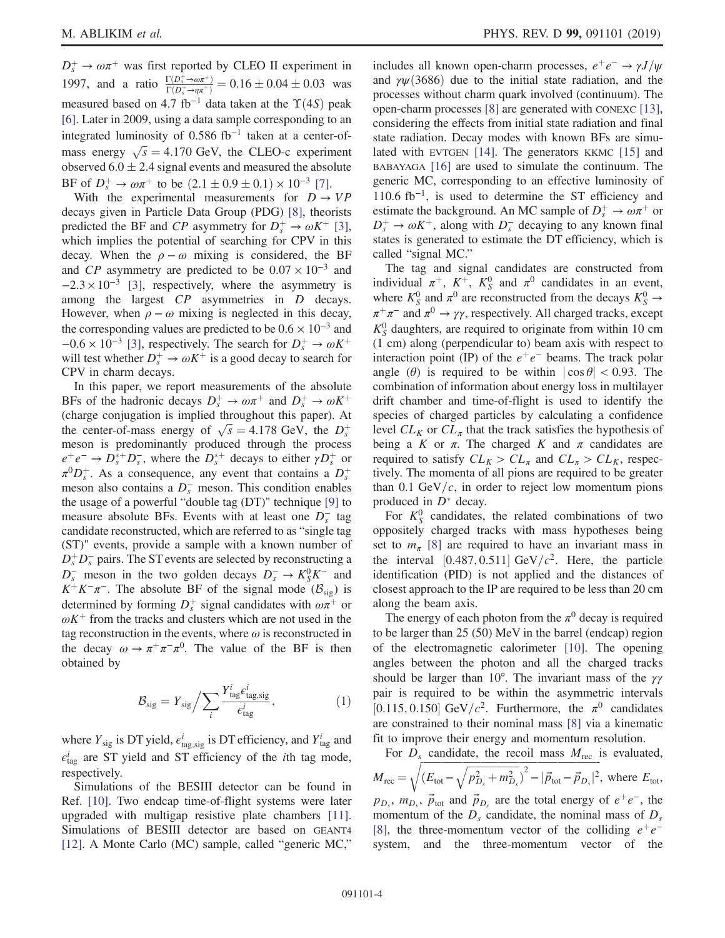$D_s^+ \rightarrow \omega \pi^+$  was first reported by CLEO II experiment in 1997, and a ratio  $\frac{\Gamma(D_s^+ \rightarrow \omega \pi^+)}{\Gamma(D_s^+ \rightarrow \omega \pi^+)}$  $\frac{\Gamma(D_s \to \omega \pi^+)}{\Gamma(D_s^+ \to \eta \pi^+)} = 0.16 \pm 0.04 \pm 0.03$  was measured based on 4.7 fb<sup>-1</sup> data taken at the  $\Upsilon(4S)$  peak [\[6\]](#page-6-2). Later in 2009, using a data sample corresponding to an integrated luminosity of  $0.586$  fb<sup>-1</sup> taken at a center-ofmass energy  $\sqrt{s} = 4.170$  GeV, the CLEO-c experiment observed  $6.0 \pm 2.4$  signal events and measured the absolute BF of  $D_s^+ \to \omega \pi^+$  to be  $(2.1 \pm 0.9 \pm 0.1) \times 10^{-3}$  [\[7\]](#page-6-3).

With the experimental measurements for  $D \rightarrow VP$ decays given in Particle Data Group (PDG) [\[8\],](#page-6-4) theorists predicted the BF and CP asymmetry for  $D_s^+ \to \omega K^+$  [\[3\]](#page-6-5), which implies the potential of searching for CPV in this decay. When the  $\rho - \omega$  mixing is considered, the BF and CP asymmetry are predicted to be  $0.07 \times 10^{-3}$  and  $-2.3 \times 10^{-3}$  [\[3\]](#page-6-5), respectively, where the asymmetry is among the largest CP asymmetries in D decays. However, when  $\rho - \omega$  mixing is neglected in this decay, the corresponding values are predicted to be  $0.6 \times 10^{-3}$  and  $-0.6 \times 10^{-3}$  [\[3\]](#page-6-5), respectively. The search for  $D_s^+ \to \omega K^+$ will test whether  $D_s^+ \to \omega K^+$  is a good decay to search for CPV in charm decays.

In this paper, we report measurements of the absolute BFs of the hadronic decays  $D_s^+ \to \omega \pi^+$  and  $D_s^+ \to \omega K^+$ (charge conjugation is implied throughout this paper). At the center-of-mass energy of  $\sqrt{s} = 4.178 \text{ GeV}$ , the  $D_s^+$ meson is predominantly produced through the process  $e^+e^- \rightarrow D_s^{*+}D_s^-$ , where the  $D_s^{*+}$  decays to either  $\gamma D_s^+$  or  $\pi^0 D_s^+$ . As a consequence, any event that contains a  $D_s^+$ meson also contains a  $D_s^-$  meson. This condition enables the usage of a powerful "double tag (DT)" technique [\[9\]](#page-6-6) to measure absolute BFs. Events with at least one  $D_s^-$  tag candidate reconstructed, which are referred to as "single tag (ST)" events, provide a sample with a known number of  $D_s^+D_s^-$  pairs. The ST events are selected by reconstructing a  $D_s^-$  meson in the two golden decays  $D_s^- \to K_S^0 K^-$  and  $K^+K^-\pi^-$ . The absolute BF of the signal mode ( $\mathcal{B}_{sig}$ ) is determined by forming  $D_s^+$  signal candidates with  $\omega \pi^+$  or  $\omega K^+$  from the tracks and clusters which are not used in the tag reconstruction in the events, where  $\omega$  is reconstructed in the decay  $\omega \to \pi^+ \pi^- \pi^0$ . The value of the BF is then obtained by

<span id="page-3-0"></span>
$$
\mathcal{B}_{\text{sig}} = Y_{\text{sig}} / \sum_{i} \frac{Y_{\text{tag}}^{i} e_{\text{tag,sig}}^{i}}{e_{\text{tag}}^{i}}, \tag{1}
$$

where  $Y_{sig}$  is DT yield,  $\epsilon_{tag, sig}^i$  is DT efficiency, and  $Y_{tag}^i$  and  $\epsilon_{\text{tag}}^i$  are ST yield and ST efficiency of the *i*th tag mode, respectively.

Simulations of the BESIII detector can be found in Ref. [\[10\].](#page-6-7) Two endcap time-of-flight systems were later upgraded with multigap resistive plate chambers [\[11\]](#page-6-8). Simulations of BESIII detector are based on GEANT4 [\[12\]](#page-6-9). A Monte Carlo (MC) sample, called "generic MC,"

includes all known open-charm processes,  $e^+e^- \rightarrow \gamma J/\psi$ and  $\gamma \psi$ (3686) due to the initial state radiation, and the processes without charm quark involved (continuum). The open-charm processes [\[8\]](#page-6-4) are generated with CONEXC [\[13\]](#page-6-10), considering the effects from initial state radiation and final state radiation. Decay modes with known BFs are simulated with EVTGEN [\[14\].](#page-6-11) The generators KKMC [\[15\]](#page-6-12) and BABAYAGA [\[16\]](#page-6-13) are used to simulate the continuum. The generic MC, corresponding to an effective luminosity of 110.6 fb<sup>-1</sup>, is used to determine the ST efficiency and estimate the background. An MC sample of  $D_s^+ \to \omega \pi^+$  or  $D_s^+ \to \omega K^+$ , along with  $D_s^-$  decaying to any known final states is generated to estimate the DT efficiency, which is called "signal MC."

The tag and signal candidates are constructed from individual  $\pi^+$ ,  $K^+$ ,  $K^0$  and  $\pi^0$  candidates in an event, where  $K_S^0$  and  $\pi^0$  are reconstructed from the decays  $K_S^0 \to$  $\pi^+\pi^-$  and  $\pi^0 \to \gamma\gamma$ , respectively. All charged tracks, except  $K_S^0$  daughters, are required to originate from within 10 cm (1 cm) along (perpendicular to) beam axis with respect to interaction point (IP) of the  $e^+e^-$  beams. The track polar angle ( $\theta$ ) is required to be within  $|\cos \theta| < 0.93$ . The combination of information about energy loss in multilayer drift chamber and time-of-flight is used to identify the species of charged particles by calculating a confidence level  $CL_K$  or  $CL_\pi$  that the track satisfies the hypothesis of being a K or  $\pi$ . The charged K and  $\pi$  candidates are required to satisfy  $CL_K > CL_\pi$  and  $CL_\pi > CL_K$ , respectively. The momenta of all pions are required to be greater than 0.1 GeV/ $c$ , in order to reject low momentum pions produced in  $D^*$  decay.

For  $K_S^0$  candidates, the related combinations of two oppositely charged tracks with mass hypotheses being set to  $m_{\pi}$  [\[8\]](#page-6-4) are required to have an invariant mass in the interval [0.487, 0.511] GeV/ $c^2$ . Here, the particle identification (PID) is not applied and the distances of closest approach to the IP are required to be less than 20 cm along the beam axis.

The energy of each photon from the  $\pi^0$  decay is required to be larger than 25 (50) MeV in the barrel (endcap) region of the electromagnetic calorimeter [\[10\].](#page-6-7) The opening angles between the photon and all the charged tracks should be larger than 10°. The invariant mass of the  $\gamma\gamma$ pair is required to be within the asymmetric intervals [0.115, 0.150] GeV/ $c^2$ . Furthermore, the  $\pi^0$  candidates are constrained to their nominal mass [\[8\]](#page-6-4) via a kinematic fit to improve their energy and momentum resolution.

For  $D_s$  candidate, the recoil mass  $M_{\text{rec}}$  is evaluated,  $M_{\rm rec} = \sqrt{\left(E_{\rm tot} - \sqrt{p_{D_s}^2 + m_{D_s}^2}\right)^2 - |\vec{p}_{\rm tot} - \vec{p}_{D_s}|^2}$  $\sqrt{(E_{\text{tot}} - \sqrt{p_{D_s}^2 + m_{D_s}^2})^2 - |\vec{p}_{\text{tot}} - \vec{p}_{D_s}|^2}$ , where  $E_{\text{tot}}$ ,  $p_{D_s}$ ,  $m_{D_s}$ ,  $\vec{p}_{\text{tot}}$  and  $\vec{p}_{D_s}$  are the total energy of  $e^+e^-$ , the momentum of the  $D_s$  candidate, the nominal mass of  $D_s$ [\[8\]](#page-6-4), the three-momentum vector of the colliding  $e^+e^$ system, and the three-momentum vector of the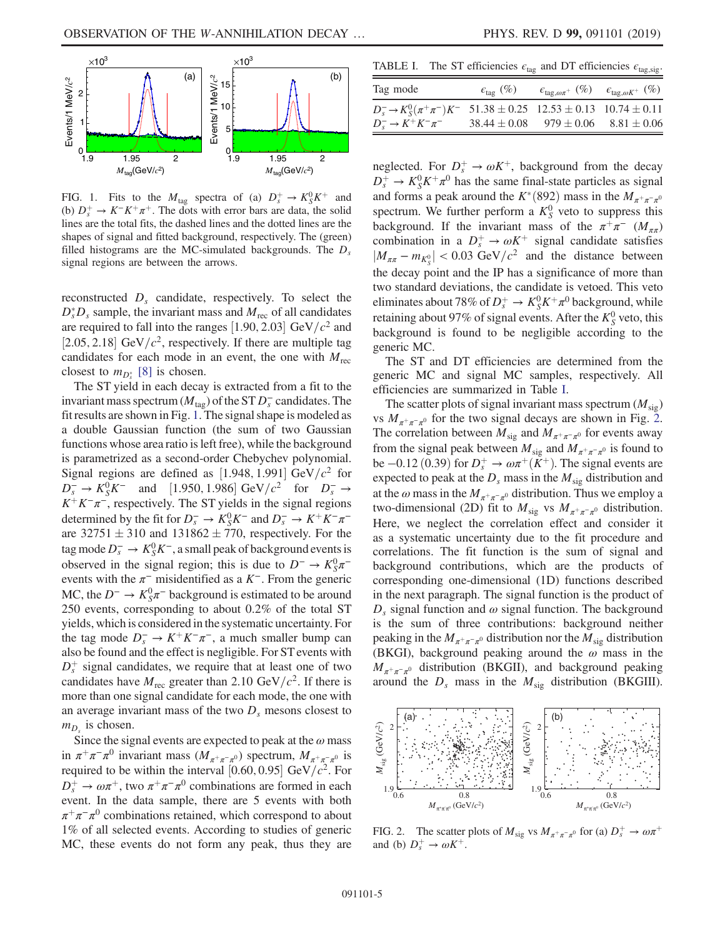<span id="page-4-0"></span>

FIG. 1. Fits to the  $M_{\text{tag}}$  spectra of (a)  $D_s^+ \rightarrow K_S^0 K^+$  and (b)  $D_s^+ \rightarrow K^-K^+\pi^+$ . The dots with error bars are data, the solid lines are the total fits, the dashed lines and the dotted lines are the shapes of signal and fitted background, respectively. The (green) filled histograms are the MC-simulated backgrounds. The  $D_s$ signal regions are between the arrows.

reconstructed  $D<sub>s</sub>$  candidate, respectively. To select the  $D_s^*D_s$  sample, the invariant mass and  $M_{\text{rec}}$  of all candidates are required to fall into the ranges [1.90, 2.03] GeV/ $c<sup>2</sup>$  and [2.05, 2.18] GeV/ $c^2$ , respectively. If there are multiple tag candidates for each mode in an event, the one with  $M_{\text{rec}}$ closest to  $m_{D_s^*}$  [\[8\]](#page-6-4) is chosen.

The ST yield in each decay is extracted from a fit to the invariant mass spectrum ( $M_{\text{tag}}$ ) of the ST  $D_s^-$  candidates. The fit results are shown in Fig. [1.](#page-4-0) The signal shape is modeled as a double Gaussian function (the sum of two Gaussian functions whose area ratio is left free), while the background is parametrized as a second-order Chebychev polynomial. Signal regions are defined as [1.948, 1.991] GeV/ $c^2$  for  $D_s^- \to K_S^0 K^-$  and [1.950, 1.986] GeV/ $c^2$  for  $D_s^- \to$  $K^+K^-\pi^-$ , respectively. The ST yields in the signal regions determined by the fit for  $D_s^- \to K_S^0 K^-$  and  $D_s^- \to K^+ K^- \pi^$ are  $32751 \pm 310$  and  $131862 \pm 770$ , respectively. For the tag mode  $D_s^-$  →  $K_S^0 K^-$ , a small peak of background events is observed in the signal region; this is due to  $D^- \rightarrow K_S^0 \pi^$ events with the  $\pi^-$  misidentified as a  $K^-$ . From the generic MC, the  $D^- \to K_S^0 \pi^-$  background is estimated to be around 250 events, corresponding to about 0.2% of the total ST yields, which is considered in the systematic uncertainty. For the tag mode  $D_s^- \to K^+ K^-\pi^-$ , a much smaller bump can also be found and the effect is negligible. For ST events with  $D_s^+$  signal candidates, we require that at least one of two candidates have  $M_{\text{rec}}$  greater than 2.10 GeV/ $c^2$ . If there is more than one signal candidate for each mode, the one with an average invariant mass of the two  $D<sub>s</sub>$  mesons closest to  $m_{D_s}$  is chosen.

Since the signal events are expected to peak at the  $\omega$  mass in  $\pi^+\pi^-\pi^0$  invariant mass  $(M_{\pi^+\pi^-\pi^0})$  spectrum,  $M_{\pi^+\pi^-\pi^0}$  is required to be within the interval [0.60, 0.95] GeV/ $c^2$ . For  $D_s^+ \to \omega \pi^+$ , two  $\pi^+ \pi^- \pi^0$  combinations are formed in each event. In the data sample, there are 5 events with both  $\pi^+\pi^-\pi^0$  combinations retained, which correspond to about 1% of all selected events. According to studies of generic MC, these events do not form any peak, thus they are

<span id="page-4-1"></span>TABLE I. The ST efficiencies  $\epsilon_{\text{tag}}$  and DT efficiencies  $\epsilon_{\text{tag,sig}}$ .

| Tag mode                                                                                                                            | $\epsilon_{\text{tag}}(\%)$ | $\epsilon_{\text{tag},\omega\pi^+}$ (%) $\epsilon_{\text{tag},\omega K^+}$ (%) |  |
|-------------------------------------------------------------------------------------------------------------------------------------|-----------------------------|--------------------------------------------------------------------------------|--|
| $D_s^ \rightarrow$ $K_s^0(\pi^+\pi^-)K^-$ 51.38 $\pm$ 0.25 12.53 $\pm$ 0.13 10.74 $\pm$ 0.11<br>$D^{-}_{s} \to K^{+} K^{-} \pi^{-}$ |                             | $38.44 \pm 0.08$ $979 \pm 0.06$ $8.81 \pm 0.06$                                |  |

neglected. For  $D_s^+ \to \omega K^+$ , background from the decay  $D_s^+ \rightarrow K_S^0 K^+ \pi^0$  has the same final-state particles as signal and forms a peak around the  $K^*(892)$  mass in the  $M_{\pi^+\pi^-\pi^0}$ spectrum. We further perform a  $K_S^0$  veto to suppress this background. If the invariant mass of the  $\pi^+\pi^-$  ( $M_{\pi\pi}$ ) combination in a  $D_s^+ \rightarrow \omega K^+$  signal candidate satisfies  $|M_{\pi\pi} - m_{K^0_S}| < 0.03 \text{ GeV}/c^2$  and the distance between the decay point and the IP has a significance of more than two standard deviations, the candidate is vetoed. This veto eliminates about 78% of  $D_s^+ \to K_S^0 K^+ \pi^0$  background, while retaining about 97% of signal events. After the  $K_S^0$  veto, this background is found to be negligible according to the generic MC.

The ST and DT efficiencies are determined from the generic MC and signal MC samples, respectively. All efficiencies are summarized in Table [I](#page-4-1).

The scatter plots of signal invariant mass spectrum  $(M_{sig})$ vs  $M_{\pi^+\pi^-\pi^0}$  for the two signal decays are shown in Fig. [2](#page-4-2). The correlation between  $M_{sig}$  and  $M_{\pi^+\pi^-\pi^0}$  for events away from the signal peak between  $M_{sig}$  and  $M_{\pi^+\pi^-\pi^0}$  is found to be −0.12 (0.39) for  $D_s^+$  →  $\omega \pi^+ (K^+)$ . The signal events are expected to peak at the  $D_s$  mass in the  $M_{sig}$  distribution and at the  $\omega$  mass in the  $M_{\pi^+\pi^-\pi^0}$  distribution. Thus we employ a two-dimensional (2D) fit to  $M_{\text{sig}}$  vs  $M_{\pi^+\pi^-\pi^0}$  distribution. Here, we neglect the correlation effect and consider it as a systematic uncertainty due to the fit procedure and correlations. The fit function is the sum of signal and background contributions, which are the products of corresponding one-dimensional (1D) functions described in the next paragraph. The signal function is the product of  $D_s$  signal function and  $\omega$  signal function. The background is the sum of three contributions: background neither peaking in the  $M_{\pi^+\pi^-\pi^0}$  distribution nor the  $M_{sig}$  distribution (BKGI), background peaking around the  $\omega$  mass in the  $M_{\pi^+\pi^-\pi^0}$  distribution (BKGII), and background peaking around the  $D_s$  mass in the  $M_{sig}$  distribution (BKGIII).

<span id="page-4-2"></span>

FIG. 2. The scatter plots of  $M_{\text{sig}}$  vs  $M_{\pi^+\pi^-\pi^0}$  for (a)  $D_s^+ \to \omega\pi^+$ and (b)  $D_s^+ \rightarrow \omega K^+$ .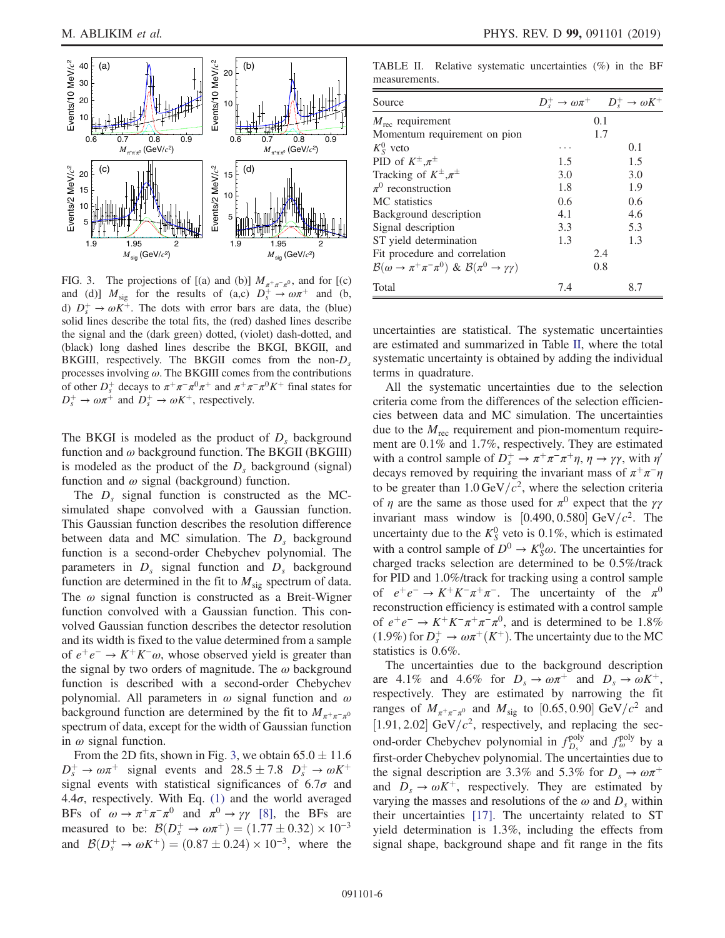<span id="page-5-0"></span>

FIG. 3. The projections of [(a) and (b)]  $M_{\pi^+\pi^-\pi^0}$ , and for [(c) and (d)]  $M_{sig}$  for the results of (a,c)  $D_s^+ \rightarrow \omega \pi^+$  and (b, d)  $D_s^+ \rightarrow \omega K^+$ . The dots with error bars are data, the (blue) solid lines describe the total fits, the (red) dashed lines describe the signal and the (dark green) dotted, (violet) dash-dotted, and (black) long dashed lines describe the BKGI, BKGII, and BKGIII, respectively. The BKGII comes from the non- $D_s$ processes involving  $\omega$ . The BKGIII comes from the contributions of other  $D_s^+$  decays to  $\pi^+\pi^-\pi^0\pi^+$  and  $\pi^+\pi^-\pi^0K^+$  final states for  $D_s^+ \to \omega \pi^+$  and  $D_s^+ \to \omega K^+$ , respectively.

The BKGI is modeled as the product of  $D_s$  background function and  $\omega$  background function. The BKGII (BKGIII) is modeled as the product of the  $D<sub>s</sub>$  background (signal) function and  $\omega$  signal (background) function.

The  $D_s$  signal function is constructed as the MCsimulated shape convolved with a Gaussian function. This Gaussian function describes the resolution difference between data and MC simulation. The  $D<sub>s</sub>$  background function is a second-order Chebychev polynomial. The parameters in  $D_s$  signal function and  $D_s$  background function are determined in the fit to  $M_{sig}$  spectrum of data. The  $\omega$  signal function is constructed as a Breit-Wigner function convolved with a Gaussian function. This convolved Gaussian function describes the detector resolution and its width is fixed to the value determined from a sample of  $e^+e^- \rightarrow K^+K^-\omega$ , whose observed yield is greater than the signal by two orders of magnitude. The  $\omega$  background function is described with a second-order Chebychev polynomial. All parameters in  $\omega$  signal function and  $\omega$ background function are determined by the fit to  $M_{\pi^+\pi^-\pi^0}$ spectrum of data, except for the width of Gaussian function in  $\omega$  signal function.

From the 2D fits, shown in Fig. [3,](#page-5-0) we obtain  $65.0 \pm 11.6$  $D_s^+ \rightarrow \omega \pi^+$  signal events and  $28.5 \pm 7.8$   $D_s^+ \rightarrow \omega K^+$ signal events with statistical significances of  $6.7\sigma$  and 4.4 $\sigma$ , respectively. With Eq. [\(1\)](#page-3-0) and the world averaged BFs of  $\omega \to \pi^+\pi^-\pi^0$  and  $\pi^0 \to \gamma\gamma$  [\[8\],](#page-6-4) the BFs are measured to be:  $\mathcal{B}(D_s^+ \to \omega \pi^+) = (1.77 \pm 0.32) \times 10^{-3}$ and  $\mathcal{B}(D_s^+ \to \omega K^+) = (0.87 \pm 0.24) \times 10^{-3}$ , where the

<span id="page-5-1"></span>TABLE II. Relative systematic uncertainties (%) in the BF measurements.

| Source                                                                              |     | $D_s^+ \rightarrow \omega \pi^+$ $D_s^+ \rightarrow \omega K^+$ |
|-------------------------------------------------------------------------------------|-----|-----------------------------------------------------------------|
| $M_{\text{rec}}$ requirement                                                        | 0.1 |                                                                 |
| Momentum requirement on pion                                                        | 1.7 |                                                                 |
| $K_S^0$ veto                                                                        | .   | 0.1                                                             |
| PID of $K^{\pm}, \pi^{\pm}$                                                         | 1.5 | 1.5                                                             |
| Tracking of $K^{\pm}, \pi^{\pm}$                                                    | 3.0 | 3.0                                                             |
| $\pi^0$ reconstruction                                                              | 1.8 | 1.9                                                             |
| MC statistics                                                                       | 0.6 | 0.6                                                             |
| Background description                                                              | 4.1 | 4.6                                                             |
| Signal description                                                                  | 3.3 | 5.3                                                             |
| ST yield determination                                                              | 1.3 | 1.3                                                             |
| Fit procedure and correlation                                                       |     | 2.4                                                             |
| $\mathcal{B}(\omega \to \pi^+ \pi^- \pi^0) \& \mathcal{B}(\pi^0 \to \gamma \gamma)$ |     | 0.8                                                             |
| Total                                                                               | 7.4 | 8.7                                                             |

uncertainties are statistical. The systematic uncertainties are estimated and summarized in Table [II,](#page-5-1) where the total systematic uncertainty is obtained by adding the individual terms in quadrature.

All the systematic uncertainties due to the selection criteria come from the differences of the selection efficiencies between data and MC simulation. The uncertainties due to the  $M_{rec}$  requirement and pion-momentum requirement are 0.1% and 1.7%, respectively. They are estimated with a control sample of  $D_s^+ \to \pi^+ \pi^- \pi^+ \eta$ ,  $\eta \to \gamma \gamma$ , with  $\eta'$ decays removed by requiring the invariant mass of  $\pi^+\pi^-\eta$ to be greater than  $1.0 \,\text{GeV}/c^2$ , where the selection criteria of  $\eta$  are the same as those used for  $\pi^0$  expect that the  $\gamma\gamma$ invariant mass window is [0.490, 0.580] GeV/ $c^2$ . The uncertainty due to the  $K_S^0$  veto is 0.1%, which is estimated with a control sample of  $D^0 \to K_S^0 \omega$ . The uncertainties for charged tracks selection are determined to be 0.5%/track for PID and 1.0%/track for tracking using a control sample of  $e^+e^- \rightarrow K^+K^-\pi^+\pi^-$ . The uncertainty of the  $\pi^0$ reconstruction efficiency is estimated with a control sample of  $e^+e^- \rightarrow K^+K^-\pi^+\pi^-\pi^0$ , and is determined to be 1.8%  $(1.9\%)$  for  $D_s^+ \to \omega \pi^+(K^+)$ . The uncertainty due to the MC statistics is 0.6%.

The uncertainties due to the background description are 4.1% and 4.6% for  $D_s \rightarrow \omega \pi^+$  and  $D_s \rightarrow \omega K^+$ , respectively. They are estimated by narrowing the fit ranges of  $M_{\pi^+\pi^-\pi^0}$  and  $M_{\text{sig}}$  to [0.65, 0.90] GeV/ $c^2$  and [1.91, 2.02] GeV/ $c^2$ , respectively, and replacing the second-order Chebychev polynomial in  $f_{D_s}^{\text{poly}}$  and  $f_{\omega}^{\text{poly}}$  by a first-order Chebychev polynomial. The uncertainties due to the signal description are 3.3% and 5.3% for  $D_s \to \omega \pi^+$ and  $D_s \rightarrow \omega K^+$ , respectively. They are estimated by varying the masses and resolutions of the  $\omega$  and  $D_s$  within their uncertainties [\[17\]](#page-6-14). The uncertainty related to ST yield determination is 1.3%, including the effects from signal shape, background shape and fit range in the fits